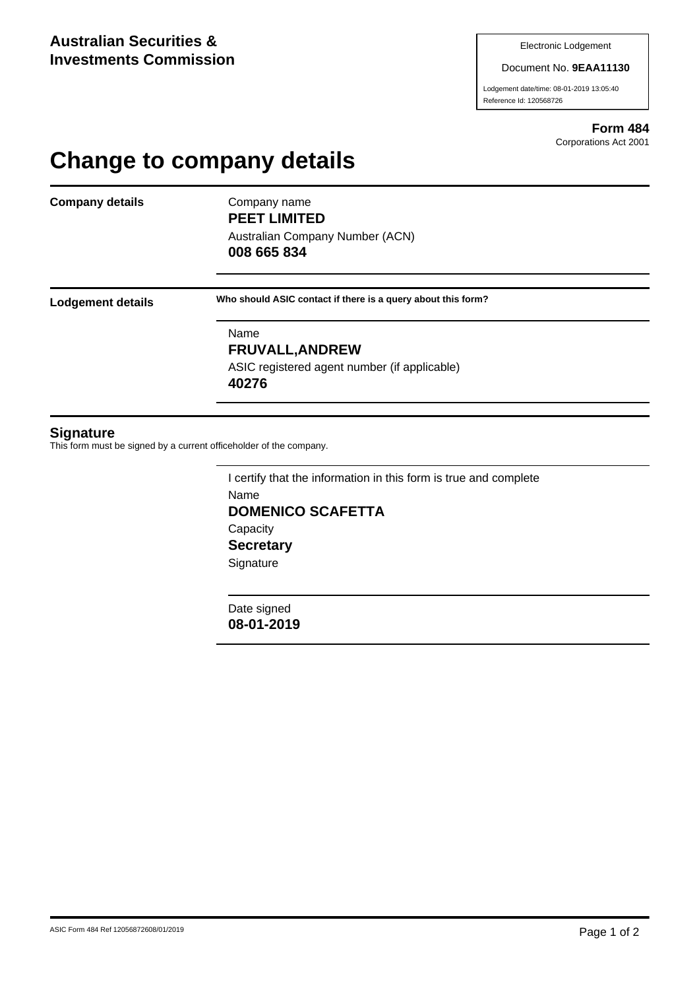#### Document No. **9EAA11130**

Lodgement date/time: 08-01-2019 13:05:40 Reference Id: 120568726

> **Form 484** Corporations Act 2001

# **Change to company details**

**Company details** Company name

**PEET LIMITED** Australian Company Number (ACN)

**008 665 834**

**Lodgement details Who should ASIC contact if there is a query about this form?**

Name **FRUVALL,ANDREW** ASIC registered agent number (if applicable) **40276**

### **Signature**

This form must be signed by a current officeholder of the company.

I certify that the information in this form is true and complete Name **DOMENICO SCAFETTA Capacity Secretary Signature** 

Date signed **08-01-2019**